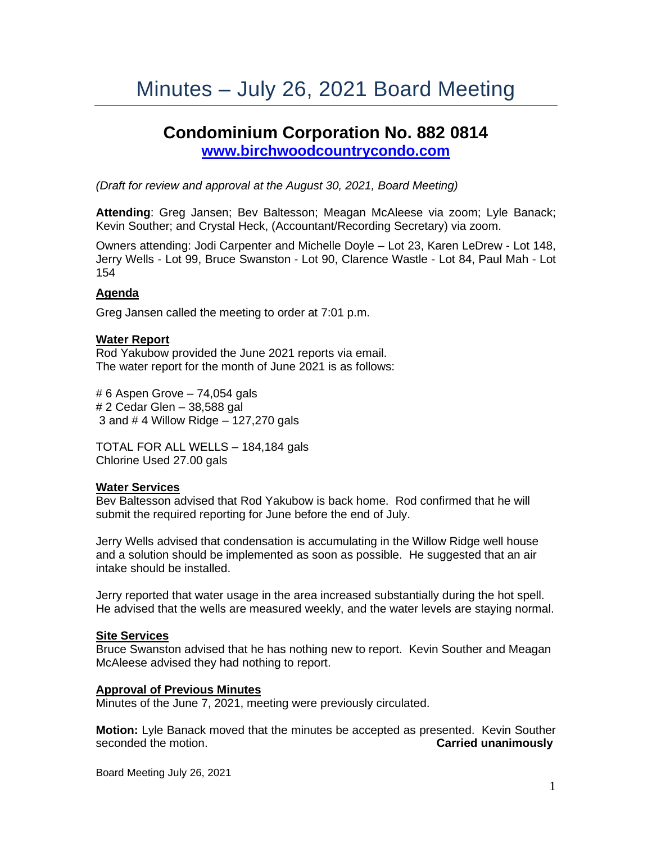# Minutes – July 26, 2021 Board Meeting

# **Condominium Corporation No. 882 0814 [www.birchwoodcountrycondo.com](http://www.birchwoodcountrycondo.com/)**

*(Draft for review and approval at the August 30, 2021, Board Meeting)*

**Attending**: Greg Jansen; Bev Baltesson; Meagan McAleese via zoom; Lyle Banack; Kevin Souther; and Crystal Heck, (Accountant/Recording Secretary) via zoom.

Owners attending: Jodi Carpenter and Michelle Doyle – Lot 23, Karen LeDrew - Lot 148, Jerry Wells - Lot 99, Bruce Swanston - Lot 90, Clarence Wastle - Lot 84, Paul Mah - Lot 154

#### **Agenda**

Greg Jansen called the meeting to order at 7:01 p.m.

#### **Water Report**

Rod Yakubow provided the June 2021 reports via email. The water report for the month of June 2021 is as follows:

# 6 Aspen Grove – 74,054 gals # 2 Cedar Glen – 38,588 gal 3 and # 4 Willow Ridge – 127,270 gals

TOTAL FOR ALL WELLS – 184,184 gals Chlorine Used 27.00 gals

#### **Water Services**

Bev Baltesson advised that Rod Yakubow is back home. Rod confirmed that he will submit the required reporting for June before the end of July.

Jerry Wells advised that condensation is accumulating in the Willow Ridge well house and a solution should be implemented as soon as possible. He suggested that an air intake should be installed.

Jerry reported that water usage in the area increased substantially during the hot spell. He advised that the wells are measured weekly, and the water levels are staying normal.

#### **Site Services**

Bruce Swanston advised that he has nothing new to report. Kevin Souther and Meagan McAleese advised they had nothing to report.

#### **Approval of Previous Minutes**

Minutes of the June 7, 2021, meeting were previously circulated.

**Motion:** Lyle Banack moved that the minutes be accepted as presented. Kevin Souther seconded the motion. **Carried unanimously**

Board Meeting July 26, 2021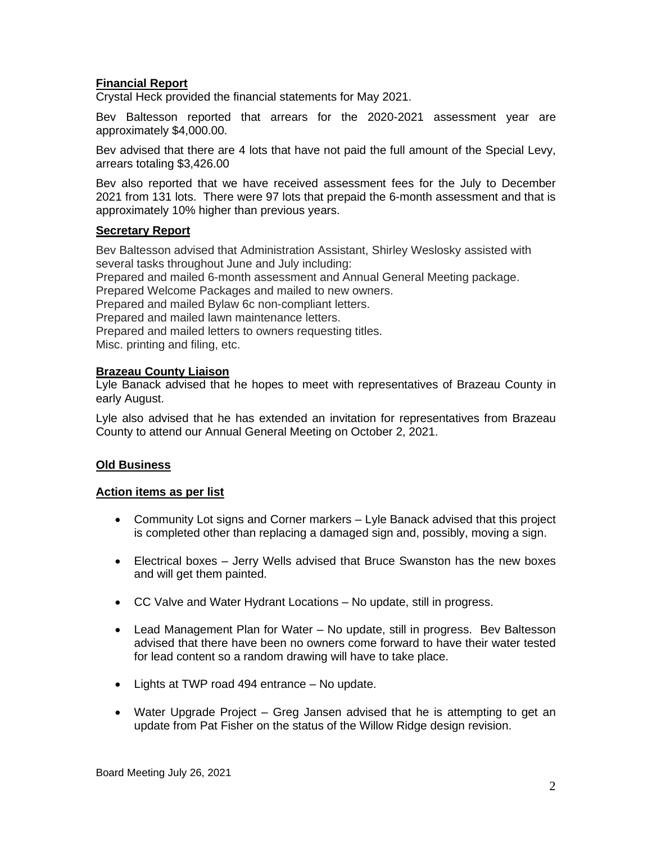# **Financial Report**

Crystal Heck provided the financial statements for May 2021.

Bev Baltesson reported that arrears for the 2020-2021 assessment year are approximately \$4,000.00.

Bev advised that there are 4 lots that have not paid the full amount of the Special Levy, arrears totaling \$3,426.00

Bev also reported that we have received assessment fees for the July to December 2021 from 131 lots. There were 97 lots that prepaid the 6-month assessment and that is approximately 10% higher than previous years.

# **Secretary Report**

Bev Baltesson advised that Administration Assistant, Shirley Weslosky assisted with several tasks throughout June and July including:

Prepared and mailed 6-month assessment and Annual General Meeting package.

Prepared Welcome Packages and mailed to new owners.

Prepared and mailed Bylaw 6c non-compliant letters.

Prepared and mailed lawn maintenance letters.

Prepared and mailed letters to owners requesting titles.

Misc. printing and filing, etc.

#### **Brazeau County Liaison**

Lyle Banack advised that he hopes to meet with representatives of Brazeau County in early August.

Lyle also advised that he has extended an invitation for representatives from Brazeau County to attend our Annual General Meeting on October 2, 2021.

# **Old Business**

#### **Action items as per list**

- Community Lot signs and Corner markers Lyle Banack advised that this project is completed other than replacing a damaged sign and, possibly, moving a sign.
- Electrical boxes Jerry Wells advised that Bruce Swanston has the new boxes and will get them painted.
- CC Valve and Water Hydrant Locations No update, still in progress.
- Lead Management Plan for Water No update, still in progress. Bev Baltesson advised that there have been no owners come forward to have their water tested for lead content so a random drawing will have to take place.
- Lights at TWP road 494 entrance No update.
- Water Upgrade Project Greg Jansen advised that he is attempting to get an update from Pat Fisher on the status of the Willow Ridge design revision.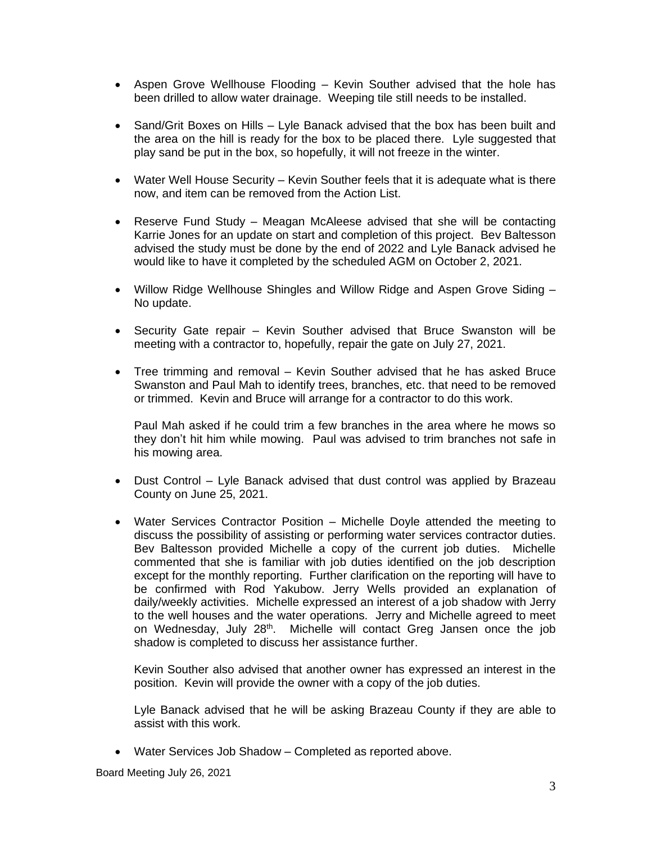- Aspen Grove Wellhouse Flooding Kevin Souther advised that the hole has been drilled to allow water drainage. Weeping tile still needs to be installed.
- Sand/Grit Boxes on Hills Lyle Banack advised that the box has been built and the area on the hill is ready for the box to be placed there. Lyle suggested that play sand be put in the box, so hopefully, it will not freeze in the winter.
- Water Well House Security Kevin Souther feels that it is adequate what is there now, and item can be removed from the Action List.
- Reserve Fund Study Meagan McAleese advised that she will be contacting Karrie Jones for an update on start and completion of this project. Bev Baltesson advised the study must be done by the end of 2022 and Lyle Banack advised he would like to have it completed by the scheduled AGM on October 2, 2021.
- Willow Ridge Wellhouse Shingles and Willow Ridge and Aspen Grove Siding No update.
- Security Gate repair Kevin Souther advised that Bruce Swanston will be meeting with a contractor to, hopefully, repair the gate on July 27, 2021.
- Tree trimming and removal Kevin Souther advised that he has asked Bruce Swanston and Paul Mah to identify trees, branches, etc. that need to be removed or trimmed. Kevin and Bruce will arrange for a contractor to do this work.

Paul Mah asked if he could trim a few branches in the area where he mows so they don't hit him while mowing. Paul was advised to trim branches not safe in his mowing area.

- Dust Control Lyle Banack advised that dust control was applied by Brazeau County on June 25, 2021.
- Water Services Contractor Position Michelle Doyle attended the meeting to discuss the possibility of assisting or performing water services contractor duties. Bev Baltesson provided Michelle a copy of the current job duties. Michelle commented that she is familiar with job duties identified on the job description except for the monthly reporting. Further clarification on the reporting will have to be confirmed with Rod Yakubow. Jerry Wells provided an explanation of daily/weekly activities. Michelle expressed an interest of a job shadow with Jerry to the well houses and the water operations. Jerry and Michelle agreed to meet on Wednesday, July 28<sup>th</sup>. Michelle will contact Greg Jansen once the job shadow is completed to discuss her assistance further.

Kevin Souther also advised that another owner has expressed an interest in the position. Kevin will provide the owner with a copy of the job duties.

Lyle Banack advised that he will be asking Brazeau County if they are able to assist with this work.

• Water Services Job Shadow – Completed as reported above.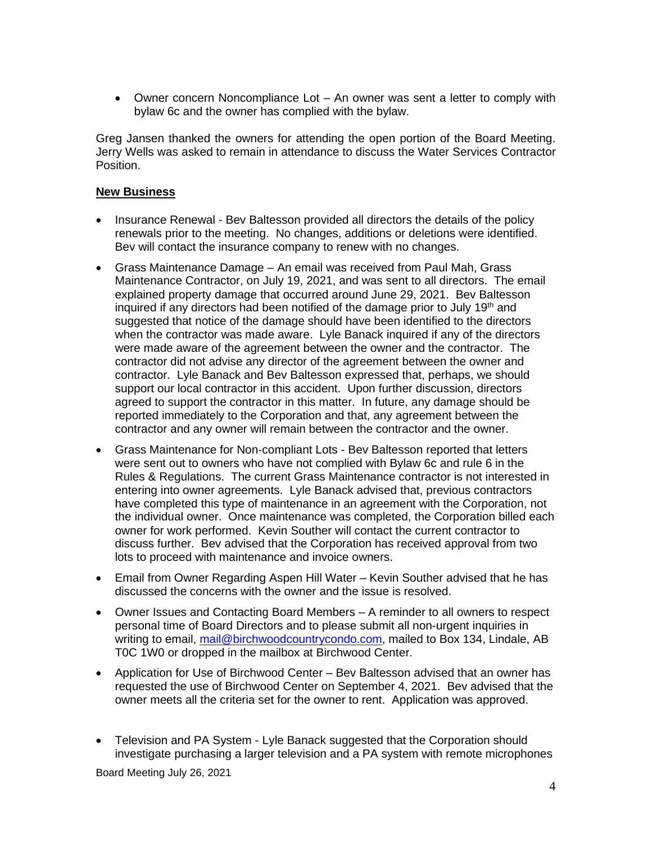• Owner concern Noncompliance Lot – An owner was sent a letter to comply with bylaw 6c and the owner has complied with the bylaw.

Greg Jansen thanked the owners for attending the open portion of the Board Meeting. Jerry Wells was asked to remain in attendance to discuss the Water Services Contractor Position.

# **New Business**

- Insurance Renewal Bev Baltesson provided all directors the details of the policy renewals prior to the meeting. No changes, additions or deletions were identified. Bev will contact the insurance company to renew with no changes.
- Grass Maintenance Damage An email was received from Paul Mah, Grass Maintenance Contractor, on July 19, 2021, and was sent to all directors. The email explained property damage that occurred around June 29, 2021. Bev Baltesson inquired if any directors had been notified of the damage prior to July 19th and suggested that notice of the damage should have been identified to the directors when the contractor was made aware. Lyle Banack inquired if any of the directors were made aware of the agreement between the owner and the contractor. The contractor did not advise any director of the agreement between the owner and contractor. Lyle Banack and Bev Baltesson expressed that, perhaps, we should support our local contractor in this accident. Upon further discussion, directors agreed to support the contractor in this matter. In future, any damage should be reported immediately to the Corporation and that, any agreement between the contractor and any owner will remain between the contractor and the owner.
- Grass Maintenance for Non-compliant Lots Bev Baltesson reported that letters were sent out to owners who have not complied with Bylaw 6c and rule 6 in the Rules & Regulations. The current Grass Maintenance contractor is not interested in entering into owner agreements. Lyle Banack advised that, previous contractors have completed this type of maintenance in an agreement with the Corporation, not the individual owner. Once maintenance was completed, the Corporation billed each owner for work performed. Kevin Souther will contact the current contractor to discuss further. Bev advised that the Corporation has received approval from two lots to proceed with maintenance and invoice owners.
- Email from Owner Regarding Aspen Hill Water Kevin Souther advised that he has discussed the concerns with the owner and the issue is resolved.
- Owner Issues and Contacting Board Members A reminder to all owners to respect personal time of Board Directors and to please submit all non-urgent inquiries in writing to email, [mail@birchwoodcountrycondo.com,](mailto:mail@birchwoodcountrycondo.com) mailed to Box 134, Lindale, AB T0C 1W0 or dropped in the mailbox at Birchwood Center.
- Application for Use of Birchwood Center Bev Baltesson advised that an owner has requested the use of Birchwood Center on September 4, 2021. Bev advised that the owner meets all the criteria set for the owner to rent. Application was approved.
- Television and PA System Lyle Banack suggested that the Corporation should investigate purchasing a larger television and a PA system with remote microphones

Board Meeting July 26, 2021